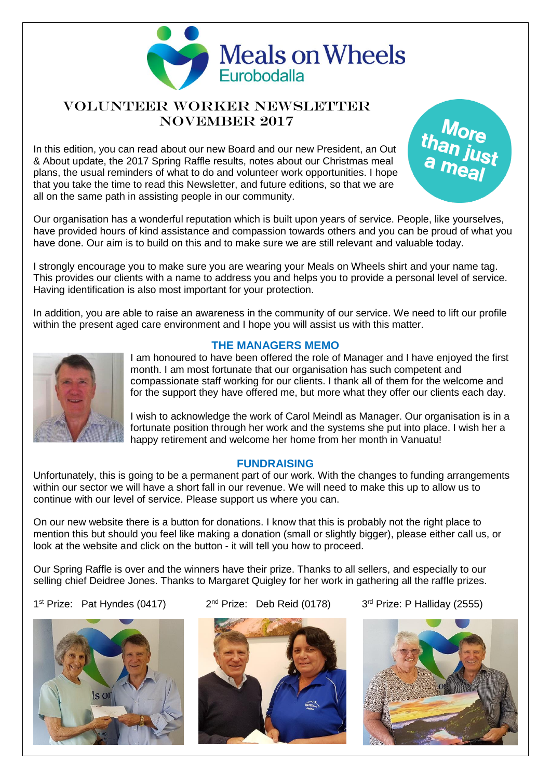

# Volunteer Worker Newsletter November 2017

In this edition, you can read about our new Board and our new President, an Out & About update, the 2017 Spring Raffle results, notes about our Christmas meal plans, the usual reminders of what to do and volunteer work opportunities. I hope that you take the time to read this Newsletter, and future editions, so that we are all on the same path in assisting people in our community.

Our organisation has a wonderful reputation which is built upon years of service. People, like yourselves, have provided hours of kind assistance and compassion towards others and you can be proud of what you have done. Our aim is to build on this and to make sure we are still relevant and valuable today.

I strongly encourage you to make sure you are wearing your Meals on Wheels shirt and your name tag. This provides our clients with a name to address you and helps you to provide a personal level of service. Having identification is also most important for your protection.

In addition, you are able to raise an awareness in the community of our service. We need to lift our profile within the present aged care environment and I hope you will assist us with this matter.



### **THE MANAGERS MEMO**

I am honoured to have been offered the role of Manager and I have enjoyed the first month. I am most fortunate that our organisation has such competent and compassionate staff working for our clients. I thank all of them for the welcome and for the support they have offered me, but more what they offer our clients each day.

I wish to acknowledge the work of Carol Meindl as Manager. Our organisation is in a fortunate position through her work and the systems she put into place. I wish her a happy retirement and welcome her home from her month in Vanuatu!

#### **FUNDRAISING**

Unfortunately, this is going to be a permanent part of our work. With the changes to funding arrangements within our sector we will have a short fall in our revenue. We will need to make this up to allow us to continue with our level of service. Please support us where you can.

On our new website there is a button for donations. I know that this is probably not the right place to mention this but should you feel like making a donation (small or slightly bigger), please either call us, or look at the website and click on the button - it will tell you how to proceed.

Our Spring Raffle is over and the winners have their prize. Thanks to all sellers, and especially to our selling chief Deidree Jones. Thanks to Margaret Quigley for her work in gathering all the raffle prizes.

1<sup>st</sup> Prize: Pat Hyndes (0417)



 $2<sup>nd</sup> Prize: Deb Reid (0178)$   $3<sup>rd</sup> Prize: P Halliday (2555)$ 





More<br>than just<br>a meal